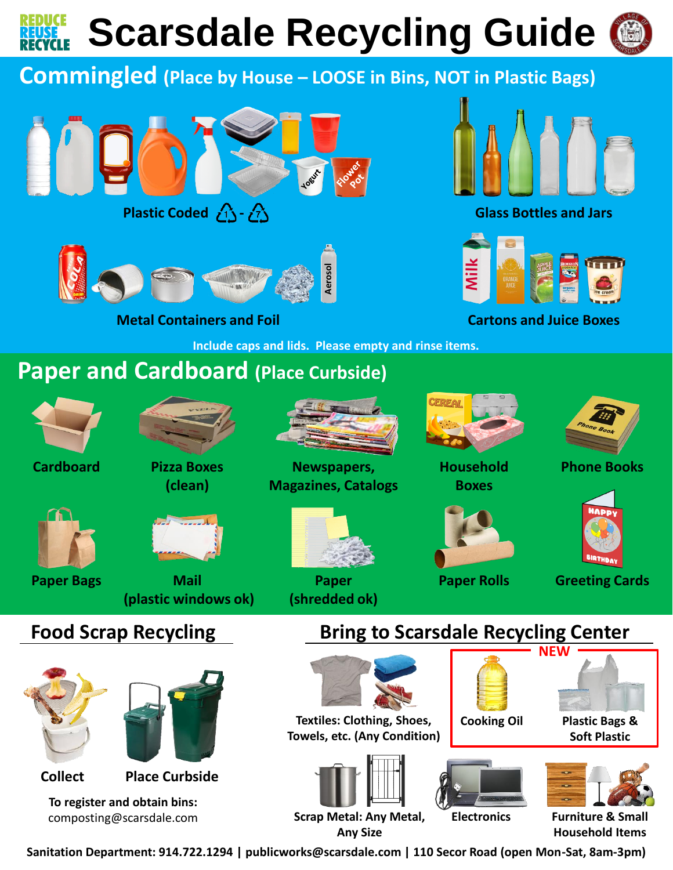**Scarsdale Recycling Guide**



### **Commingled (Place by House – LOOSE in Bins, NOT in Plastic Bags)**





**Metal Containers and Foil**

**Include caps and lids. Please empty and rinse items.**

# **Paper and Cardboard (Place Curbside)**



**Cardboard Pizza Boxes** 







**Mail (plastic windows ok) Paper Bags Paper Rolls**



**Newspapers, Magazines, Catalogs**



**Paper (shredded ok)**



**Boxes**

**Household** 

**NEW**

**Glass Bottles and Jars**

**Cartons and Juice Boxes**



**Phone Books**



**Greeting Cards**

### **Food Scrap Recycling**



**To register and obtain bins:**  composting@scarsdale.com

## **Bring to Scarsdale Recycling Center**



**Textiles: Clothing, Shoes, Towels, etc. (Any Condition)**





**Cooking Oil**



**Plastic Bags & Soft Plastic**

**Scrap Metal: Any Metal, Any Size**

**Furniture & Small Household Items**

**Sanitation Department: 914.722.1294 | publicworks@scarsdale.com | 110 Secor Road (open Mon-Sat, 8am-3pm)**